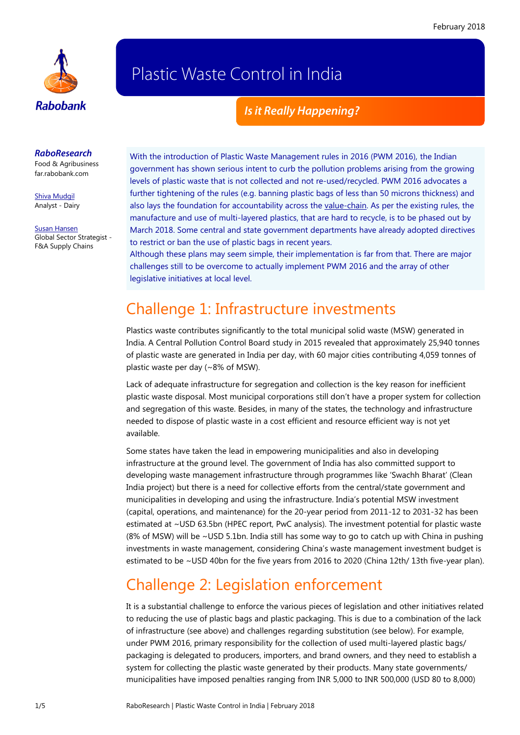

# Plastic Waste Control in India

#### *Is it Really Happening?*

#### *RaboResearch*

Food & Agribusiness [far.rabobank.com](http://far.rabobank.com/)

[Shiva Mudgil](mailto:shiva.mudgil@rabobank.com) Analyst - Dairy

[Susan Hansen](mailto:susan.hansen@rabobank.com) Global Sector Strategist - F&A Supply Chains

With the introduction of Plastic Waste Management rules in 2016 (PWM 2016), the Indian government has shown serious intent to curb the pollution problems arising from the growing levels of plastic waste that is not collected and not re-used/recycled. PWM 2016 advocates a further tightening of the rules (e.g. banning plastic bags of less than 50 microns thickness) and also lays the foundation for accountability across the [value-chain.](https://research.rabobank.com/far/en/sectors/fa-supply-chains/indias_pursuit_to_curb_plastic_packaging_waste.html) As per the existing rules, the manufacture and use of multi-layered plastics, that are hard to recycle, is to be phased out by March 2018. Some central and state government departments have already adopted directives to restrict or ban the use of plastic bags in recent years.

Although these plans may seem simple, their implementation is far from that. There are major challenges still to be overcome to actually implement PWM 2016 and the array of other legislative initiatives at local level.

### Challenge 1: Infrastructure investments

Plastics waste contributes significantly to the total municipal solid waste (MSW) generated in India. A Central Pollution Control Board study in 2015 revealed that approximately 25,940 tonnes of plastic waste are generated in India per day, with 60 major cities contributing 4,059 tonnes of plastic waste per day (~8% of MSW).

Lack of adequate infrastructure for segregation and collection is the key reason for inefficient plastic waste disposal. Most municipal corporations still don't have a proper system for collection and segregation of this waste. Besides, in many of the states, the technology and infrastructure needed to dispose of plastic waste in a cost efficient and resource efficient way is not yet available.

Some states have taken the lead in empowering municipalities and also in developing infrastructure at the ground level. The government of India has also committed support to developing waste management infrastructure through programmes like 'Swachh Bharat' (Clean India project) but there is a need for collective efforts from the central/state government and municipalities in developing and using the infrastructure. India's potential MSW investment (capital, operations, and maintenance) for the 20-year period from 2011-12 to 2031-32 has been estimated at ~USD 63.5bn (HPEC report, PwC analysis). The investment potential for plastic waste (8% of MSW) will be ~USD 5.1bn. India still has some way to go to catch up with China in pushing investments in waste management, considering China's waste management investment budget is estimated to be ~USD 40bn for the five years from 2016 to 2020 (China 12th/ 13th five-year plan).

## Challenge 2: Legislation enforcement

It is a substantial challenge to enforce the various pieces of legislation and other initiatives related to reducing the use of plastic bags and plastic packaging. This is due to a combination of the lack of infrastructure (see above) and challenges regarding substitution (see below). For example, under PWM 2016, primary responsibility for the collection of used multi-layered plastic bags/ packaging is delegated to producers, importers, and brand owners, and they need to establish a system for collecting the plastic waste generated by their products. Many state governments/ municipalities have imposed penalties ranging from INR 5,000 to INR 500,000 (USD 80 to 8,000)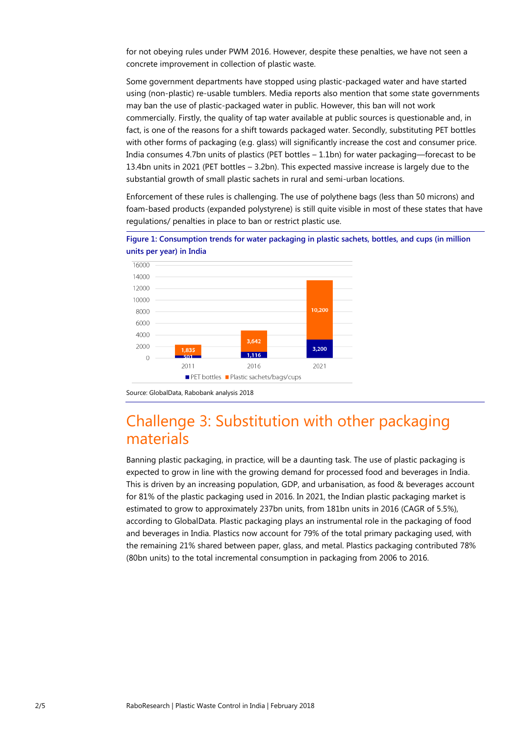for not obeying rules under PWM 2016. However, despite these penalties, we have not seen a concrete improvement in collection of plastic waste.

Some government departments have stopped using plastic-packaged water and have started using (non-plastic) re-usable tumblers. Media reports also mention that some state governments may ban the use of plastic-packaged water in public. However, this ban will not work commercially. Firstly, the quality of tap water available at public sources is questionable and, in fact, is one of the reasons for a shift towards packaged water. Secondly, substituting PET bottles with other forms of packaging (e.g. glass) will significantly increase the cost and consumer price. India consumes 4.7bn units of plastics (PET bottles – 1.1bn) for water packaging—forecast to be 13.4bn units in 2021 (PET bottles – 3.2bn). This expected massive increase is largely due to the substantial growth of small plastic sachets in rural and semi-urban locations.

Enforcement of these rules is challenging. The use of polythene bags (less than 50 microns) and foam-based products (expanded polystyrene) is still quite visible in most of these states that have regulations/ penalties in place to ban or restrict plastic use.





### Challenge 3: Substitution with other packaging materials

Banning plastic packaging, in practice, will be a daunting task. The use of plastic packaging is expected to grow in line with the growing demand for processed food and beverages in India. This is driven by an increasing population, GDP, and urbanisation, as food & beverages account for 81% of the plastic packaging used in 2016. In 2021, the Indian plastic packaging market is estimated to grow to approximately 237bn units, from 181bn units in 2016 (CAGR of 5.5%), according to GlobalData. Plastic packaging plays an instrumental role in the packaging of food and beverages in India. Plastics now account for 79% of the total primary packaging used, with the remaining 21% shared between paper, glass, and metal. Plastics packaging contributed 78% (80bn units) to the total incremental consumption in packaging from 2006 to 2016.

Source: GlobalData, Rabobank analysis 2018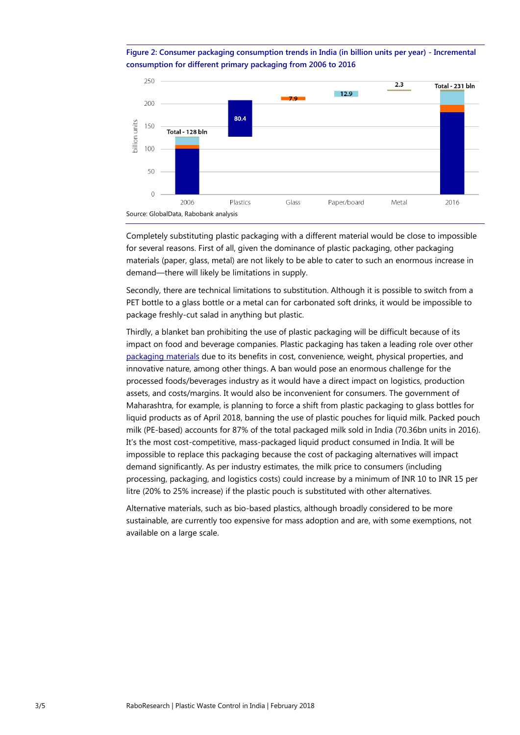**Figure 2: Consumer packaging consumption trends in India (in billion units per year) - Incremental consumption for different primary packaging from 2006 to 2016**



Completely substituting plastic packaging with a different material would be close to impossible for several reasons. First of all, given the dominance of plastic packaging, other packaging materials (paper, glass, metal) are not likely to be able to cater to such an enormous increase in demand—there will likely be limitations in supply.

Secondly, there are technical limitations to substitution. Although it is possible to switch from a PET bottle to a glass bottle or a metal can for carbonated soft drinks, it would be impossible to package freshly-cut salad in anything but plastic.

Thirdly, a blanket ban prohibiting the use of plastic packaging will be difficult because of its impact on food and beverage companies. Plastic packaging has taken a leading role over other [packaging materials](https://research.rabobank.com/far/en/sectors/fa-supply-chains/infographic-food-packaging-ticking-all-the-boxes.html) due to its benefits in cost, convenience, weight, physical properties, and innovative nature, among other things. A ban would pose an enormous challenge for the processed foods/beverages industry as it would have a direct impact on logistics, production assets, and costs/margins. It would also be inconvenient for consumers. The government of Maharashtra, for example, is planning to force a shift from plastic packaging to glass bottles for liquid products as of April 2018, banning the use of plastic pouches for liquid milk. Packed pouch milk (PE-based) accounts for 87% of the total packaged milk sold in India (70.36bn units in 2016). It's the most cost-competitive, mass-packaged liquid product consumed in India. It will be impossible to replace this packaging because the cost of packaging alternatives will impact demand significantly. As per industry estimates, the milk price to consumers (including processing, packaging, and logistics costs) could increase by a minimum of INR 10 to INR 15 per litre (20% to 25% increase) if the plastic pouch is substituted with other alternatives.

Alternative materials, such as bio-based plastics, although broadly considered to be more sustainable, are currently too expensive for mass adoption and are, with some exemptions, not available on a large scale.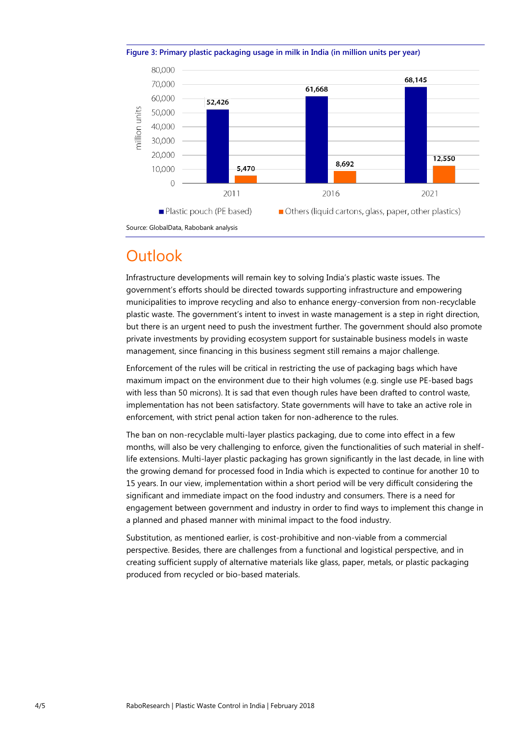

**Figure 3: Primary plastic packaging usage in milk in India (in million units per year)**

Source: GlobalData, Rabobank analysis

### **Outlook**

Infrastructure developments will remain key to solving India's plastic waste issues. The government's efforts should be directed towards supporting infrastructure and empowering municipalities to improve recycling and also to enhance energy-conversion from non-recyclable plastic waste. The government's intent to invest in waste management is a step in right direction, but there is an urgent need to push the investment further. The government should also promote private investments by providing ecosystem support for sustainable business models in waste management, since financing in this business segment still remains a major challenge.

Enforcement of the rules will be critical in restricting the use of packaging bags which have maximum impact on the environment due to their high volumes (e.g. single use PE-based bags with less than 50 microns). It is sad that even though rules have been drafted to control waste, implementation has not been satisfactory. State governments will have to take an active role in enforcement, with strict penal action taken for non-adherence to the rules.

The ban on non-recyclable multi-layer plastics packaging, due to come into effect in a few months, will also be very challenging to enforce, given the functionalities of such material in shelflife extensions. Multi-layer plastic packaging has grown significantly in the last decade, in line with the growing demand for processed food in India which is expected to continue for another 10 to 15 years. In our view, implementation within a short period will be very difficult considering the significant and immediate impact on the food industry and consumers. There is a need for engagement between government and industry in order to find ways to implement this change in a planned and phased manner with minimal impact to the food industry.

Substitution, as mentioned earlier, is cost-prohibitive and non-viable from a commercial perspective. Besides, there are challenges from a functional and logistical perspective, and in creating sufficient supply of alternative materials like glass, paper, metals, or plastic packaging produced from recycled or bio-based materials.